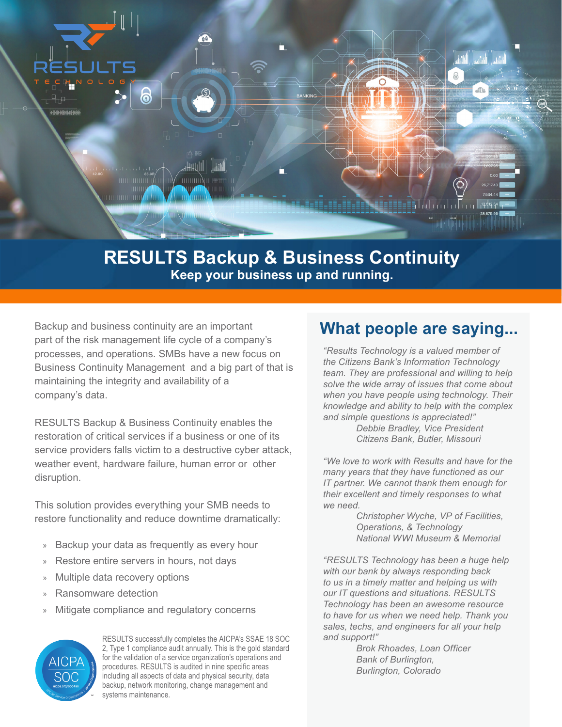

## **RESULTS Backup & Business Continuity Keep your business up and running.**

Backup and business continuity are an important part of the risk management life cycle of a company's processes, and operations. SMBs have a new focus on Business Continuity Management and a big part of that is maintaining the integrity and availability of a company's data.

RESULTS Backup & Business Continuity enables the restoration of critical services if a business or one of its service providers falls victim to a destructive cyber attack, weather event, hardware failure, human error or other disruption.

This solution provides everything your SMB needs to restore functionality and reduce downtime dramatically:

- » Backup your data as frequently as every hour
- » Restore entire servers in hours, not days
- » Multiple data recovery options
- » Ransomware detection
- » Mitigate compliance and regulatory concerns



RESULTS successfully completes the AICPA's SSAE 18 SOC 2, Type 1 compliance audit annually. This is the gold standard for the validation of a service organization's operations and procedures. RESULTS is audited in nine specific areas including all aspects of data and physical security, data backup, network monitoring, change management and systems maintenance.

## **What people are saying...**

*"Results Technology is a valued member of the Citizens Bank's Information Technology team. They are professional and willing to help solve the wide array of issues that come about when you have people using technology. Their knowledge and ability to help with the complex and simple questions is appreciated!" Debbie Bradley, Vice President Citizens Bank, Butler, Missouri*

*"We love to work with Results and have for the many years that they have functioned as our IT partner. We cannot thank them enough for their excellent and timely responses to what we need.*

> *Christopher Wyche, VP of Facilities, Operations, & Technology National WWI Museum & Memorial*

*"RESULTS Technology has been a huge help with our bank by always responding back to us in a timely matter and helping us with our IT questions and situations. RESULTS Technology has been an awesome resource to have for us when we need help. Thank you sales, techs, and engineers for all your help and support!"*

> *Brok Rhoades, Loan Officer Bank of Burlington, Burlington, Colorado*